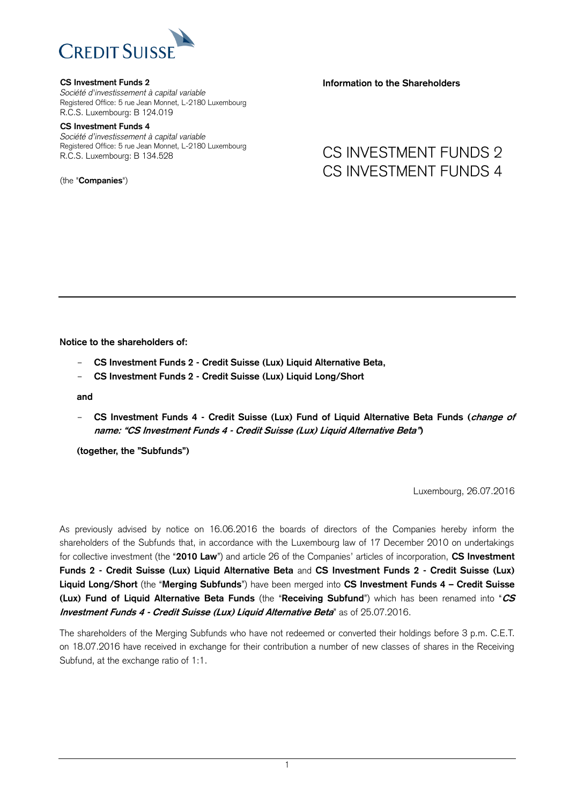

### **CS Investment Funds 2**

*Société d'investissement à capital variable* Registered Office: 5 rue Jean Monnet, L-2180 Luxembourg R.C.S. Luxembourg: B 124.019

#### **CS Investment Funds 4**

*Société d'investissement à capital variable* Registered Office: 5 rue Jean Monnet, L-2180 Luxembourg R.C.S. Luxembourg: B 134.528

(the "**Companies**")

**Information to the Shareholders**

## CS INVESTMENT FUNDS 2 CS INVESTMENT FUNDS 4

**Notice to the shareholders of:**

- **CS Investment Funds 2 - Credit Suisse (Lux) Liquid Alternative Beta,**
- **CS Investment Funds 2 - Credit Suisse (Lux) Liquid Long/Short**

**and** 

- **CS Investment Funds 4 - Credit Suisse (Lux) Fund of Liquid Alternative Beta Funds (change of name: "CS Investment Funds 4 - Credit Suisse (Lux) Liquid Alternative Beta")**

**(together, the "Subfunds")**

Luxembourg, 26.07.2016

As previously advised by notice on 16.06.2016 the boards of directors of the Companies hereby inform the shareholders of the Subfunds that, in accordance with the Luxembourg law of 17 December 2010 on undertakings for collective investment (the "**2010 Law**") and article 26 of the Companies' articles of incorporation, **CS Investment Funds 2 - Credit Suisse (Lux) Liquid Alternative Beta** and **CS Investment Funds 2 - Credit Suisse (Lux) Liquid Long/Short** (the "**Merging Subfunds**") have been merged into **CS Investment Funds 4 – Credit Suisse (Lux) Fund of Liquid Alternative Beta Funds** (the "**Receiving Subfund**") which has been renamed into "**CS Investment Funds 4 - Credit Suisse (Lux) Liquid Alternative Beta**" as of 25.07.2016.

The shareholders of the Merging Subfunds who have not redeemed or converted their holdings before 3 p.m. C.E.T. on 18.07.2016 have received in exchange for their contribution a number of new classes of shares in the Receiving Subfund, at the exchange ratio of 1:1.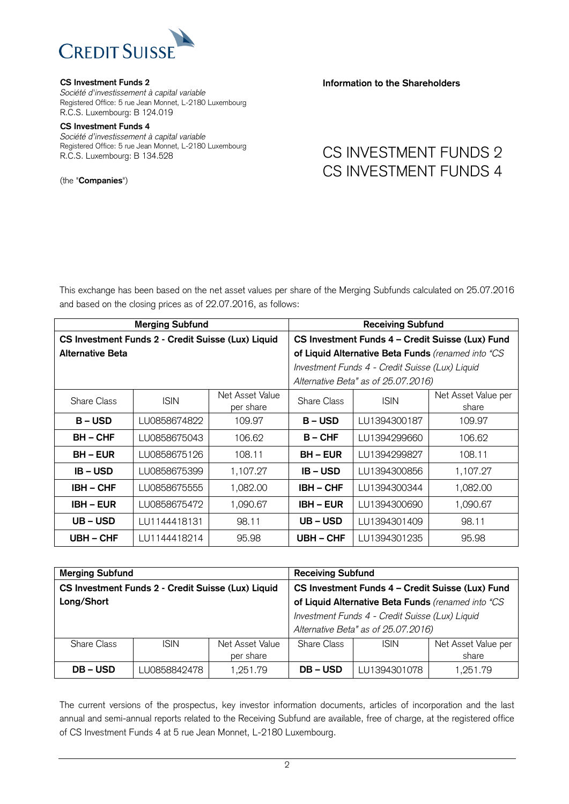

#### **CS Investment Funds 2**

*Société d'investissement à capital variable* Registered Office: 5 rue Jean Monnet, L-2180 Luxembourg R.C.S. Luxembourg: B 124.019

#### **CS Investment Funds 4**

*Société d'investissement à capital variable* Registered Office: 5 rue Jean Monnet, L-2180 Luxembourg R.C.S. Luxembourg: B 134.528

(the "**Companies**")

### **Information to the Shareholders**

# CS INVESTMENT FUNDS 2 CS INVESTMENT FUNDS 4

This exchange has been based on the net asset values per share of the Merging Subfunds calculated on 25.07.2016 and based on the closing prices as of 22.07.2016, as follows:

| <b>Merging Subfund</b>                             |              |                              | <b>Receiving Subfund</b>                           |              |                              |
|----------------------------------------------------|--------------|------------------------------|----------------------------------------------------|--------------|------------------------------|
| CS Investment Funds 2 - Credit Suisse (Lux) Liquid |              |                              | CS Investment Funds 4 - Credit Suisse (Lux) Fund   |              |                              |
| <b>Alternative Beta</b>                            |              |                              | of Liquid Alternative Beta Funds (renamed into "CS |              |                              |
|                                                    |              |                              | Investment Funds 4 - Credit Suisse (Lux) Liquid    |              |                              |
|                                                    |              |                              | Alternative Beta" as of 25.07.2016)                |              |                              |
| <b>Share Class</b>                                 | <b>ISIN</b>  | Net Asset Value<br>per share | <b>Share Class</b>                                 | <b>ISIN</b>  | Net Asset Value per<br>share |
| $B - USD$                                          | LU0858674822 | 109.97                       | $B - USD$                                          | LU1394300187 | 109.97                       |
| <b>BH-CHF</b>                                      | LU0858675043 | 106.62                       | $B - CHF$                                          | LU1394299660 | 106.62                       |
| <b>BH – EUR</b>                                    | LU0858675126 | 108.11                       | <b>BH – EUR</b>                                    | LU1394299827 | 108.11                       |
| $IB - USD$                                         | LU0858675399 | 1,107.27                     | <b>IB-USD</b>                                      | LU1394300856 | 1,107.27                     |
| $IBH - CHF$                                        | LU0858675555 | 1,082.00                     | <b>IBH - CHF</b>                                   | LU1394300344 | 1,082.00                     |
| <b>IBH – EUR</b>                                   | LU0858675472 | 1,090.67                     | <b>IBH – EUR</b>                                   | LU1394300690 | 1,090.67                     |
| UB-USD                                             | LU1144418131 | 98.11                        | UB – USD                                           | LU1394301409 | 98.11                        |
| <b>UBH – CHF</b>                                   | LU1144418214 | 95.98                        | <b>UBH-CHF</b>                                     | LU1394301235 | 95.98                        |

| <b>Merging Subfund</b>                             |              |                 | <b>Receiving Subfund</b>                           |              |                     |
|----------------------------------------------------|--------------|-----------------|----------------------------------------------------|--------------|---------------------|
| CS Investment Funds 2 - Credit Suisse (Lux) Liquid |              |                 | CS Investment Funds 4 - Credit Suisse (Lux) Fund   |              |                     |
| Long/Short                                         |              |                 | of Liquid Alternative Beta Funds (renamed into "CS |              |                     |
|                                                    |              |                 | Investment Funds 4 - Credit Suisse (Lux) Liquid    |              |                     |
|                                                    |              |                 | Alternative Beta" as of 25.07.2016)                |              |                     |
| Share Class                                        | <b>ISIN</b>  | Net Asset Value | Share Class                                        | <b>ISIN</b>  | Net Asset Value per |
|                                                    |              | per share       |                                                    |              | share               |
| <b>DB-USD</b>                                      | LU0858842478 | 1,251.79        | <b>DB-USD</b>                                      | LU1394301078 | 1,251.79            |

The current versions of the prospectus, key investor information documents, articles of incorporation and the last annual and semi-annual reports related to the Receiving Subfund are available, free of charge, at the registered office of CS Investment Funds 4 at 5 rue Jean Monnet, L-2180 Luxembourg.